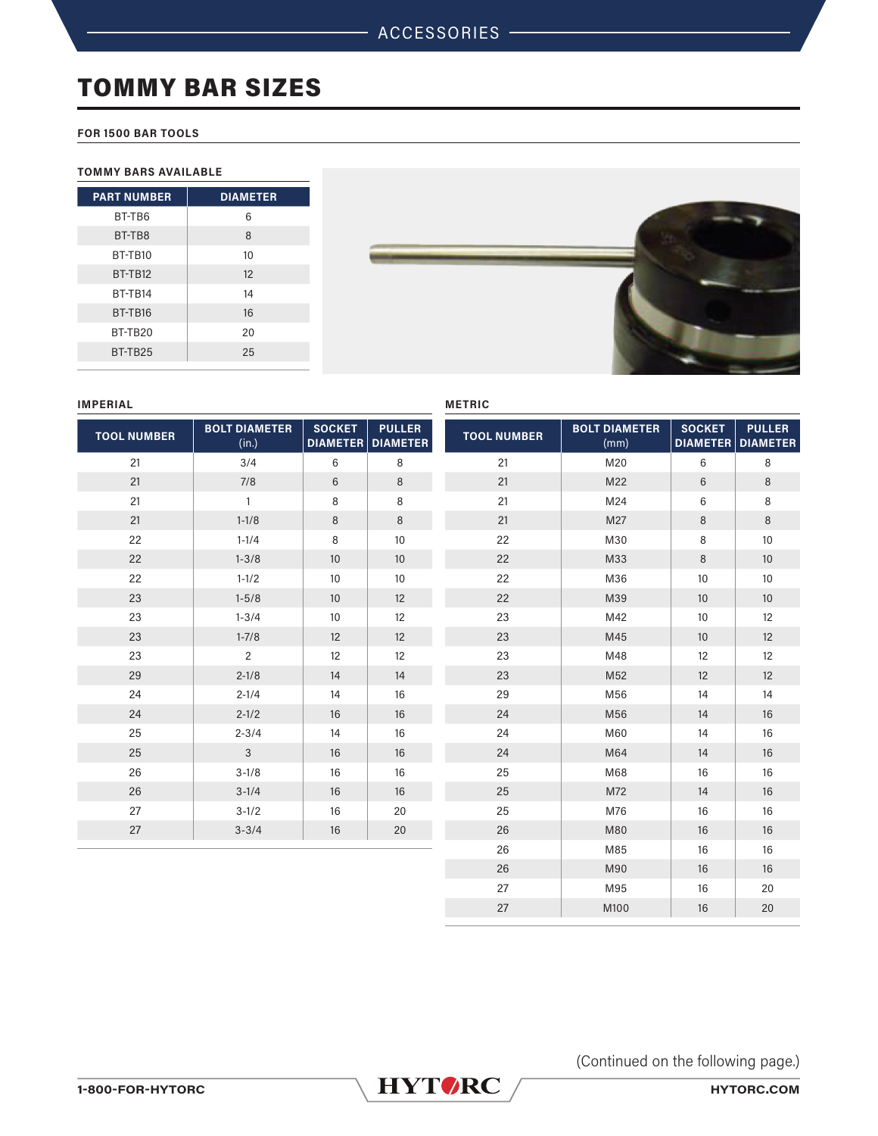# TOMMY BAR SIZES

## **FOR 1500 BAR TOOLS**

## **TOMMY BARS AVAILABLE**

| <b>DIAMETER</b> |
|-----------------|
| 6               |
| 8               |
| 10              |
| 12              |
| 14              |
| 16              |
| 20              |
| 25              |
|                 |



#### **IMPERIAL**

| <b>TOOL NUMBER</b> | <b>BOLT DIAMETER</b><br>(in.) | <b>SOCKET</b><br>DIAMETER | <b>PULLER</b><br><b>DIAMETER</b> | <b>TOOL NUMBER</b> | <b>BOLT DIAM</b><br>(mm) |
|--------------------|-------------------------------|---------------------------|----------------------------------|--------------------|--------------------------|
| 21                 | 3/4                           | 6                         | 8                                | 21                 | M20                      |
| 21                 | 7/8                           | $6\phantom{1}$            | $\,8\,$                          | 21                 | M22                      |
| 21                 | $\mathbf{1}$                  | 8                         | 8                                | 21                 | M24                      |
| 21                 | $1 - 1/8$                     | $\,8\,$                   | $\,8\,$                          | 21                 | M27                      |
| 22                 | $1 - 1/4$                     | 8                         | 10                               | 22                 | M30                      |
| 22                 | $1 - 3/8$                     | 10                        | 10                               | 22                 | M33                      |
| 22                 | $1 - 1/2$                     | 10                        | 10                               | 22                 | M36                      |
| 23                 | $1 - 5/8$                     | 10                        | 12                               | 22                 | M39                      |
| 23                 | $1 - 3/4$                     | 10                        | 12                               | 23                 | M42                      |
| 23                 | $1 - 7/8$                     | 12                        | 12                               | 23                 | M45                      |
| 23                 | $\overline{c}$                | 12                        | 12                               | 23                 | M48                      |
| 29                 | $2 - 1/8$                     | 14                        | 14                               | 23                 | M52                      |
| 24                 | $2 - 1/4$                     | 14                        | 16                               | 29                 | M56                      |
| 24                 | $2 - 1/2$                     | 16                        | 16                               | 24                 | M56                      |
| 25                 | $2 - 3/4$                     | 14                        | 16                               | 24                 | M60                      |
| 25                 | $\mathbf{3}$                  | 16                        | 16                               | 24                 | M64                      |
| 26                 | $3 - 1/8$                     | 16                        | 16                               | 25                 | M68                      |
| 26                 | $3 - 1/4$                     | 16                        | 16                               | 25                 | M72                      |
| 27                 | $3-1/2$                       | 16                        | 20                               | 25                 | M76                      |
| 27                 | $3 - 3/4$                     | 16                        | 20                               | 26                 | M80                      |
|                    |                               |                           |                                  | 26                 | M85                      |

# **METRIC**

| <b>TOOL NUMBER</b> | <b>BOLT DIAMETER</b><br>(mm) | <b>SOCKET</b><br><b>DIAMETER</b> | <b>PULLER</b><br><b>DIAMETER</b> |
|--------------------|------------------------------|----------------------------------|----------------------------------|
| 21                 | M20                          | 6                                | 8                                |
| 21                 | M22                          | 6                                | 8                                |
| 21                 | M24                          | 6                                | 8                                |
| 21                 | M27                          | 8                                | 8                                |
| 22                 | M30                          | 8                                | 10                               |
| 22                 | M33                          | 8                                | 10                               |
| 22                 | M36                          | 10                               | 10                               |
| 22                 | M39                          | 10                               | 10                               |
| 23                 | M42                          | 10                               | 12                               |
| 23                 | M45                          | 10                               | 12                               |
| 23                 | M48                          | 12                               | 12                               |
| 23                 | M52                          | 12                               | 12                               |
| 29                 | M56                          | 14                               | 14                               |
| 24                 | M56                          | 14                               | 16                               |
| 24                 | M60                          | 14                               | 16                               |
| 24                 | M64                          | 14                               | 16                               |
| 25                 | M68                          | 16                               | 16                               |
| 25                 | M72                          | 14                               | 16                               |
| 25                 | M76                          | 16                               | 16                               |
| 26                 | M80                          | 16                               | 16                               |
| 26                 | M85                          | 16                               | 16                               |
| 26                 | M90                          | 16                               | 16                               |
| 27                 | M95                          | 16                               | 20                               |
| 27                 | M100                         | 16                               | 20                               |

(Continued on the following page.)

**1-800-FOR-HYTORC [HYTORC.COM](http://HYTORC.COM)**